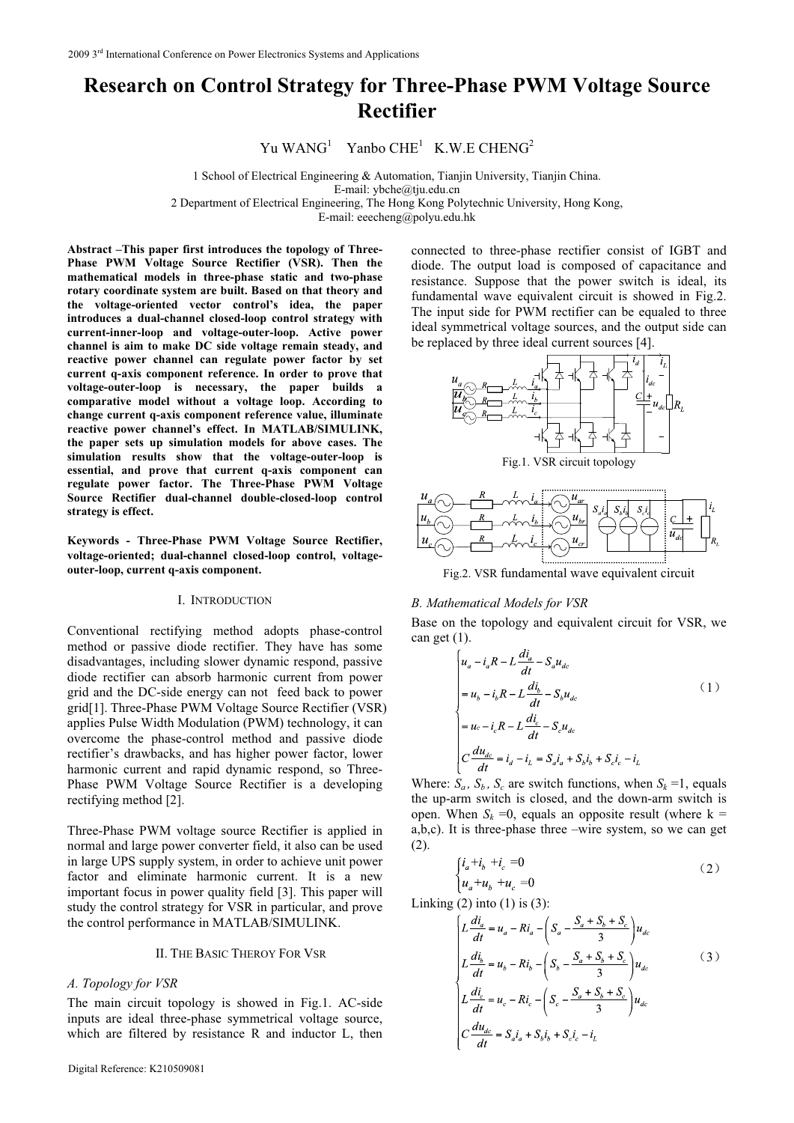# **Research on Control Strategy for Three-Phase PWM Voltage Source Rectifier**

Yu WANG<sup>1</sup> Yanbo CHE<sup>1</sup> K.W.E CHENG<sup>2</sup>

1 School of Electrical Engineering & Automation, Tianjin University, Tianjin China.

E-mail: ybche@tju.edu.cn

2 Department of Electrical Engineering, The Hong Kong Polytechnic University, Hong Kong,

E-mail: eeecheng@polyu.edu.hk

**Abstract –This paper first introduces the topology of Three-**Phase PWM Voltage Source Rectifier (VSR). Then the **mathematical models in three-phase static and two-phase rotary coordinate system are built. Based on that theory and the voltage-oriented vector control's idea, the paper introduces a dual-channel closed-loop control strategy with current-inner-loop and voltage-outer-loop. Active power channel is aim to make DC side voltage remain steady, and reactive power channel can regulate power factor by set current q-axis component reference. In order to prove that voltage-outer-loop is necessary, the paper builds a comparative model without a voltage loop. According to change current q-axis component reference value, illuminate reactive power channel's effect. In MATLAB/SIMULINK, the paper sets up simulation models for above cases. The simulation results show that the voltage-outer-loop is essential, and prove that current q-axis component can regulate power factor. The Three-Phase PWM Voltage Source Rectifier dual-channel double-closed-loop control strategy is effect.**

**Keywords - Three-Phase PWM Voltage Source Rectifier, voltage-oriented; dual-channel closed-loop control, voltageouter-loop, current q-axis component.** 

## I. INTRODUCTION

Conventional rectifying method adopts phase-control method or passive diode rectifier. They have has some disadvantages, including slower dynamic respond, passive diode rectifier can absorb harmonic current from power grid and the DC-side energy can not feed back to power grid[1]. Three-Phase PWM Voltage Source Rectifier (VSR) applies Pulse Width Modulation (PWM) technology, it can overcome the phase-control method and passive diode rectifier's drawbacks, and has higher power factor, lower harmonic current and rapid dynamic respond, so Three-Phase PWM Voltage Source Rectifier is a developing rectifying method [2].

Three-Phase PWM voltage source Rectifier is applied in normal and large power converter field, it also can be used in large UPS supply system, in order to achieve unit power factor and eliminate harmonic current. It is a new important focus in power quality field [3]. This paper will study the control strategy for VSR in particular, and prove the control performance in MATLAB/SIMULINK.

## II. THE BASIC THEROY FOR VSR

# *A. Topology for VSR*

The main circuit topology is showed in Fig.1. AC-side inputs are ideal three-phase symmetrical voltage source, which are filtered by resistance R and inductor L, then connected to three-phase rectifier consist of IGBT and diode. The output load is composed of capacitance and resistance. Suppose that the power switch is ideal, its fundamental wave equivalent circuit is showed in Fig.2. The input side for PWM rectifier can be equaled to three ideal symmetrical voltage sources, and the output side can be replaced by three ideal current sources [4].



Fig.2. VSR fundamental wave equivalent circuit

# *B. Mathematical Models for VSR*

Base on the topology and equivalent circuit for VSR, we can get  $(1)$ .

$$
\begin{cases}\n u_a - i_a R - L \frac{di_a}{dt} - S_a u_{dc} \\
= u_b - i_b R - L \frac{di_b}{dt} - S_b u_{dc} \\
= u_c - i_c R - L \frac{di_c}{dt} - S_c u_{dc} \\
C \frac{du_{dc}}{dt} = i_a - i_L = S_a i_a + S_b i_b + S_c i_c - i_L\n\end{cases} \tag{1}
$$

Where:  $S_a$ ,  $S_b$ ,  $S_c$  are switch functions, when  $S_k = 1$ , equals the up-arm switch is closed, and the down-arm switch is open. When  $S_k = 0$ , equals an opposite result (where  $k =$ a,b,c). It is three-phase three –wire system, so we can get (2).

$$
\begin{cases}\ni_a + i_b + i_c = 0\\
u_a + u_b + u_c = 0\n\end{cases} \tag{2}
$$

Linking  $(2)$  into  $(1)$  is  $(3)$ :

$$
\begin{cases}\nL\frac{di_a}{dt} = u_a - Ri_a - \left(S_a - \frac{S_a + S_b + S_c}{3}\right)u_{dc} \\
L\frac{di_b}{dt} = u_b - Ri_b - \left(S_b - \frac{S_a + S_b + S_c}{3}\right)u_{dc} \\
L\frac{di_c}{dt} = u_c - Ri_c - \left(S_c - \frac{S_a + S_b + S_c}{3}\right)u_{dc} \\
C\frac{du_{dc}}{dt} = S_a i_a + S_b i_b + S_c i_c - i_L\n\end{cases} (3)
$$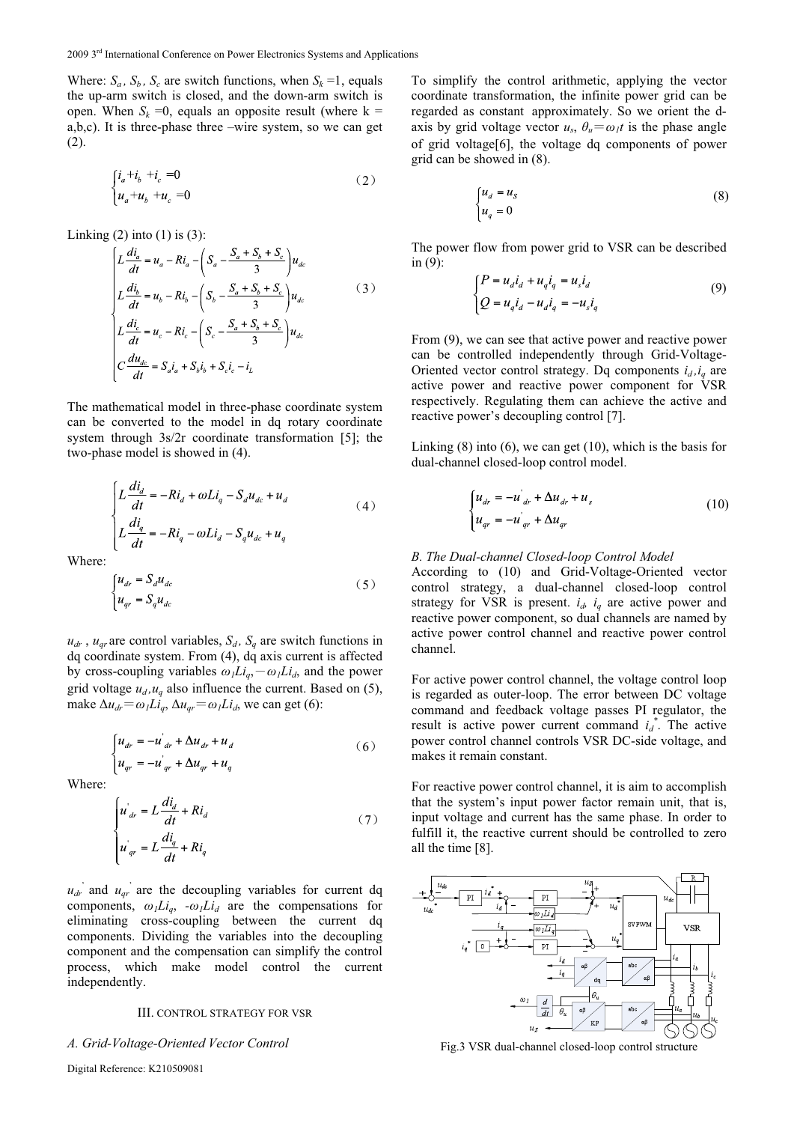Where:  $S_a$ ,  $S_b$ ,  $S_c$  are switch functions, when  $S_k = 1$ , equals the up-arm switch is closed, and the down-arm switch is open. When  $S_k = 0$ , equals an opposite result (where  $k =$ a,b,c). It is three-phase three –wire system, so we can get (2).

$$
\begin{cases} i_a + i_b + i_c = 0 \\ u_a + u_b + u_c = 0 \end{cases} \tag{2}
$$

Linking  $(2)$  into  $(1)$  is  $(3)$ :

$$
\begin{cases}\nL\frac{di_a}{dt} = u_a - Ri_a - \left(S_a - \frac{S_a + S_b + S_c}{3}\right)u_{dc} \\
L\frac{di_b}{dt} = u_b - Ri_b - \left(S_b - \frac{S_a + S_b + S_c}{3}\right)u_{dc} \\
L\frac{di_c}{dt} = u_c - Ri_c - \left(S_c - \frac{S_a + S_b + S_c}{3}\right)u_{dc} \\
C\frac{du_{dc}}{dt} = S_a i_a + S_b i_b + S_c i_c - i_L\n\end{cases} (3)
$$

The mathematical model in three-phase coordinate system can be converted to the model in dq rotary coordinate system through 3s/2r coordinate transformation [5]; the two-phase model is showed in (4).

$$
\begin{cases}\nL\frac{di_d}{dt} = -Ri_d + \omega L i_q - S_d u_{dc} + u_d \\
L\frac{di_q}{dt} = -Ri_q - \omega L i_d - S_q u_{dc} + u_q\n\end{cases} (4)
$$

Where:

$$
\begin{cases} u_{dr} = S_d u_{dc} \\ u_{qr} = S_q u_{dc} \end{cases} \tag{5}
$$

 $u_{dr}$ ,  $u_{qr}$  are control variables,  $S_d$ ,  $S_q$  are switch functions in dq coordinate system. From (4), dq axis current is affected by cross-coupling variables  $\omega_l L i_q$ ,  $-\omega_l L i_d$ , and the power grid voltage  $u_d$ ,  $u_q$  also influence the current. Based on (5), make  $\Delta u_{dr} = \omega_l L i_q$ ,  $\Delta u_{qr} = \omega_l L i_d$ , we can get (6):

$$
\begin{cases} u_{dr} = -u_{dr} + \Delta u_{dr} + u_d \\ u_{qr} = -u_{qr} + \Delta u_{qr} + u_q \end{cases}
$$
 (6)

Where:

$$
\begin{cases}\n u_{dr} = L \frac{di_d}{dt} + Ri_d \\
 u_{qr} = L \frac{di_q}{dt} + Ri_q\n\end{cases}
$$
\n(7)

 $u_{dr}$  and  $u_{qr}$  are the decoupling variables for current dq components,  $\omega_l Li_q$ ,  $-\omega_l Li_d$  are the compensations for eliminating cross-coupling between the current dq components. Dividing the variables into the decoupling component and the compensation can simplify the control process, which make model control the current independently.

## III. CONTROL STRATEGY FOR VSR

## *A. Grid-Voltage-Oriented Vector Control*

Digital Reference: K210509081

To simplify the control arithmetic, applying the vector coordinate transformation, the infinite power grid can be regarded as constant approximately. So we orient the daxis by grid voltage vector  $u_s$ ,  $\theta_u = \omega_l t$  is the phase angle of grid voltage[6], the voltage dq components of power grid can be showed in (8).

$$
\begin{cases} u_d = u_s \\ u_q = 0 \end{cases} \tag{8}
$$

The power flow from power grid to VSR can be described in (9):

$$
\begin{cases}\nP = u_d i_d + u_q i_q = u_s i_d \\
Q = u_q i_d - u_d i_q = -u_s i_q\n\end{cases}
$$
\n(9)

From (9), we can see that active power and reactive power can be controlled independently through Grid-Voltage-Oriented vector control strategy. Dq components  $i_d$ ,  $i_q$  are active power and reactive power component for VSR respectively. Regulating them can achieve the active and reactive power's decoupling control [7].

Linking (8) into (6), we can get (10), which is the basis for dual-channel closed-loop control model.

$$
\begin{cases} u_{dr} = -u'_{dr} + \Delta u_{dr} + u_s \\ u_{qr} = -u'_{qr} + \Delta u_{qr} \end{cases}
$$
 (10)

## *B. The Dual-channel Closed-loop Control Model*

According to (10) and Grid-Voltage-Oriented vector control strategy, a dual-channel closed-loop control strategy for VSR is present.  $i_d$ ,  $i_q$  are active power and reactive power component, so dual channels are named by active power control channel and reactive power control channel.

For active power control channel, the voltage control loop is regarded as outer-loop. The error between DC voltage command and feedback voltage passes PI regulator, the result is active power current command  $i_d^*$ . The active power control channel controls VSR DC-side voltage, and makes it remain constant.

For reactive power control channel, it is aim to accomplish that the system's input power factor remain unit, that is, input voltage and current has the same phase. In order to fulfill it, the reactive current should be controlled to zero all the time [8].



Fig.3 VSR dual-channel closed-loop control structure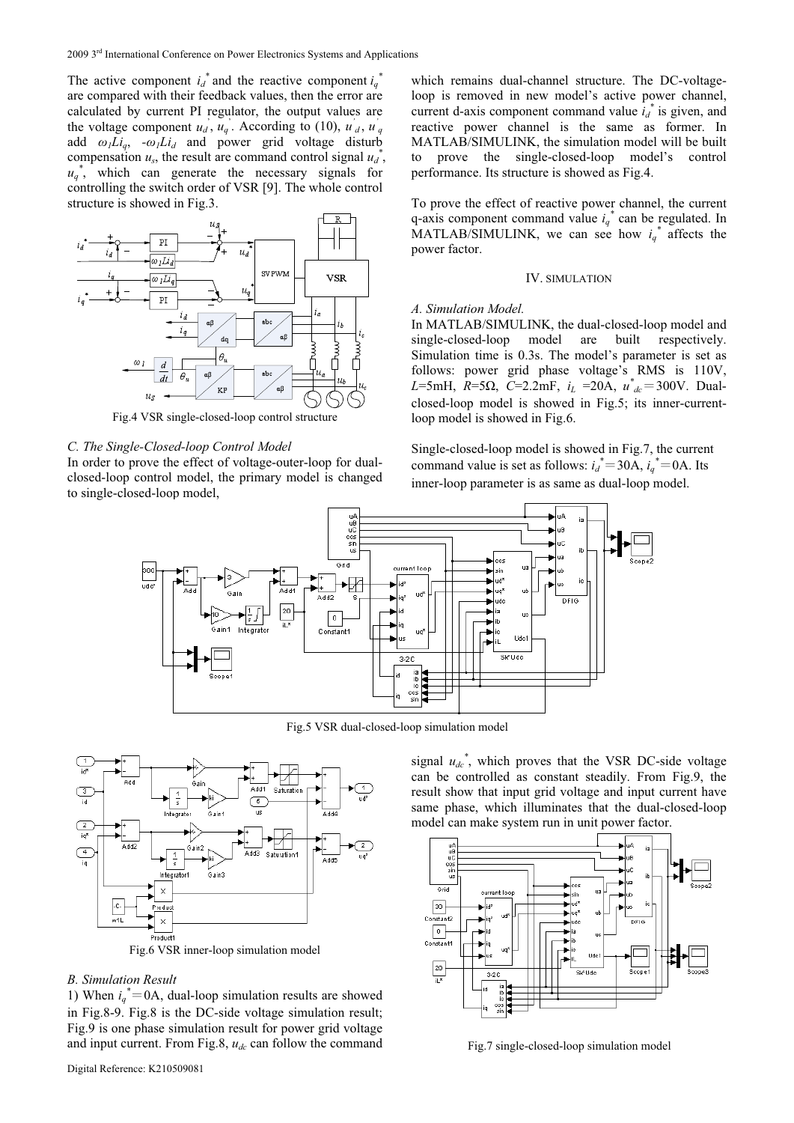The active component  $i_d^*$  and the reactive component  $i_q^*$ are compared with their feedback values, then the error are calculated by current PI regulator, the output values are the voltage component  $u_d$ ,  $u_q$ . According to (10),  $u_d$ ,  $u_q$ add  $\omega_l Li_q$ ,  $-\omega_l Li_d$  and power grid voltage disturb compensation  $u_s$ , the result are command control signal  $u_d^*$ ,  $u_q^*$ , which can generate the necessary signals for controlling the switch order of VSR [9]. The whole control structure is showed in Fig.3.



Fig.4 VSR single-closed-loop control structure

# *C. The Single-Closed-loop Control Model*

In order to prove the effect of voltage-outer-loop for dualclosed-loop control model, the primary model is changed to single-closed-loop model,

which remains dual-channel structure. The DC-voltageloop is removed in new model's active power channel, current d-axis component command value  $i_d^*$  is given, and reactive power channel is the same as former. In MATLAB/SIMULINK, the simulation model will be built to prove the single-closed-loop model's control performance. Its structure is showed as Fig.4.

To prove the effect of reactive power channel, the current q-axis component command value  $i_q^*$  can be regulated. In MATLAB/SIMULINK, we can see how  $i_q^*$  affects the power factor.

## IV. SIMULATION

#### *A. Simulation Model.*

In MATLAB/SIMULINK, the dual-closed-loop model and single-closed-loop model are built respectively. Simulation time is 0.3s. The model's parameter is set as follows: power grid phase voltage's RMS is 110V,  $L=5mH$ ,  $R=5\Omega$ ,  $C=2.2mF$ ,  $i_L =20A$ ,  $u^*_{dc}=300V$ . Dualclosed-loop model is showed in Fig.5; its inner-currentloop model is showed in Fig.6.

Single-closed-loop model is showed in Fig.7, the current command value is set as follows:  $i_d^* = 30A$ ,  $i_q^* = 0A$ . Its inner-loop parameter is as same as dual-loop model.



Fig.5 VSR dual-closed-loop simulation model



#### *B. Simulation Result*

1) When  $i_q^*$  = 0A, dual-loop simulation results are showed in Fig.8-9. Fig.8 is the DC-side voltage simulation result; Fig.9 is one phase simulation result for power grid voltage and input current. From Fig.8,  $u_{dc}$  can follow the command

signal  $u_{dc}^*$ , which proves that the VSR DC-side voltage can be controlled as constant steadily. From Fig.9, the result show that input grid voltage and input current have same phase, which illuminates that the dual-closed-loop model can make system run in unit power factor.



Fig.7 single-closed-loop simulation model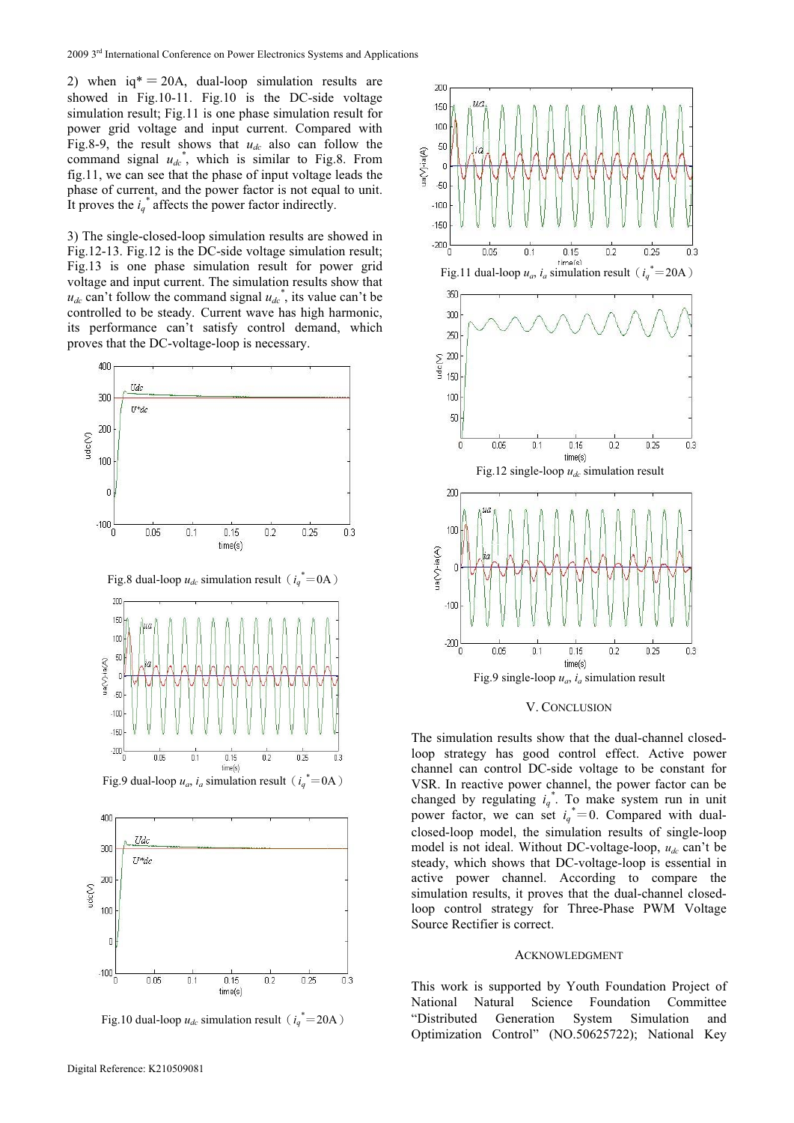2) when  $iq^* = 20A$ , dual-loop simulation results are showed in Fig.10-11. Fig.10 is the DC-side voltage simulation result; Fig.11 is one phase simulation result for power grid voltage and input current. Compared with Fig.8-9, the result shows that  $u_{dc}$  also can follow the command signal  $u_{dc}^*$ , which is similar to Fig.8. From fig.11, we can see that the phase of input voltage leads the phase of current, and the power factor is not equal to unit. It proves the  $i_q^*$  affects the power factor indirectly.

3) The single-closed-loop simulation results are showed in Fig.12-13. Fig.12 is the DC-side voltage simulation result; Fig.13 is one phase simulation result for power grid voltage and input current. The simulation results show that  $u_{dc}$  can't follow the command signal  $u_{dc}^*$ , its value can't be controlled to be steady. Current wave has high harmonic, its performance can't satisfy control demand, which proves that the DC-voltage-loop is necessary.



Fig.10 dual-loop  $u_{dc}$  simulation result ( $i_q^*$ =20A)

 $0.15$ 

 $time(s)$ 

 $02$ 

 $0.25$ 

 $0.3$ 

 $0.05$ 

 $0.1$ 



### V. CONCLUSION

The simulation results show that the dual-channel closedloop strategy has good control effect. Active power channel can control DC-side voltage to be constant for VSR. In reactive power channel, the power factor can be changed by regulating  $i_q^*$ . To make system run in unit power factor, we can set  $i_q^* = 0$ . Compared with dualclosed-loop model, the simulation results of single-loop model is not ideal. Without DC-voltage-loop,  $u_{dc}$  can't be steady, which shows that DC-voltage-loop is essential in active power channel. According to compare the simulation results, it proves that the dual-channel closedloop control strategy for Three-Phase PWM Voltage Source Rectifier is correct.

## ACKNOWLEDGMENT

This work is supported by Youth Foundation Project of National Natural Science Foundation Committee "Distributed Generation System Simulation and Optimization Control" (NO.50625722); National Key